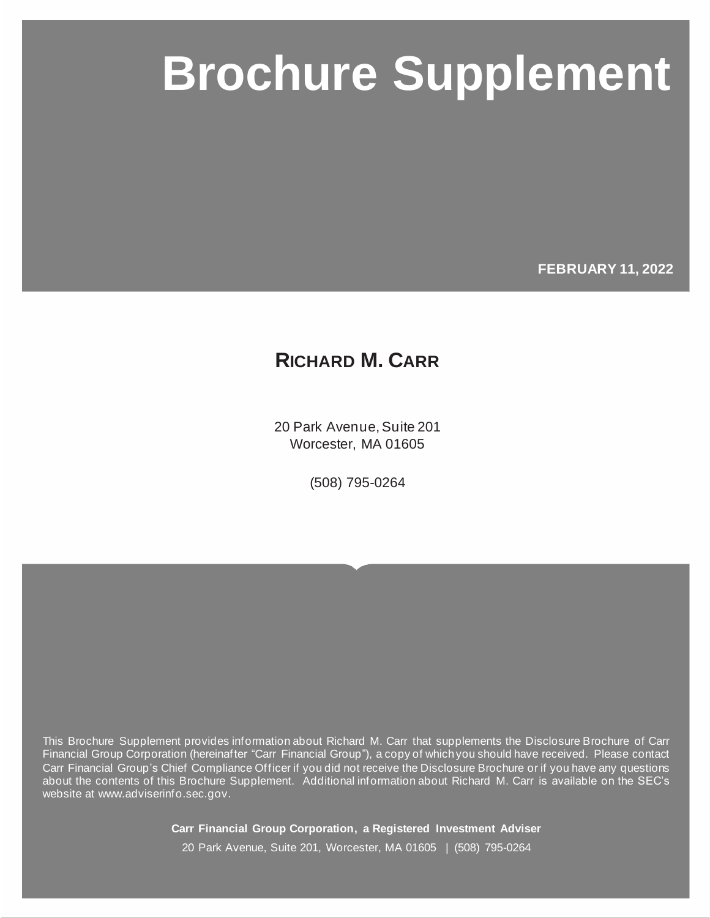# **Carr Financial Group Corporation Brochure Supplement Brochure Supplement**

**FEBRUARY 11, 2022**

## **RICHARD M. CARR**

20 Park Avenue, Suite 201 Worcester, MA 01605

(508) 795-0264

This Brochure Supplement provides information about Richard M. Carr that supplements the Disclosure Brochure of Carr Financial Group Corporation (hereinafter "Carr Financial Group"), a copy of which you should have received. Please contact Carr Financial Group's Chief Compliance Officer if you did not receive the Disclosure Brochure or if you have any questions about the contents of this Brochure Supplement. Additional information about Richard M. Carr is available on the SEC's website at www.adviserinfo.sec.gov.

> **Carr Financial Group Corporation, a Registered Investment Adviser** 20 Park Avenue, Suite 201, Worcester, MA 01605 | (508) 795-0264

Page i © MarketCounsel 2021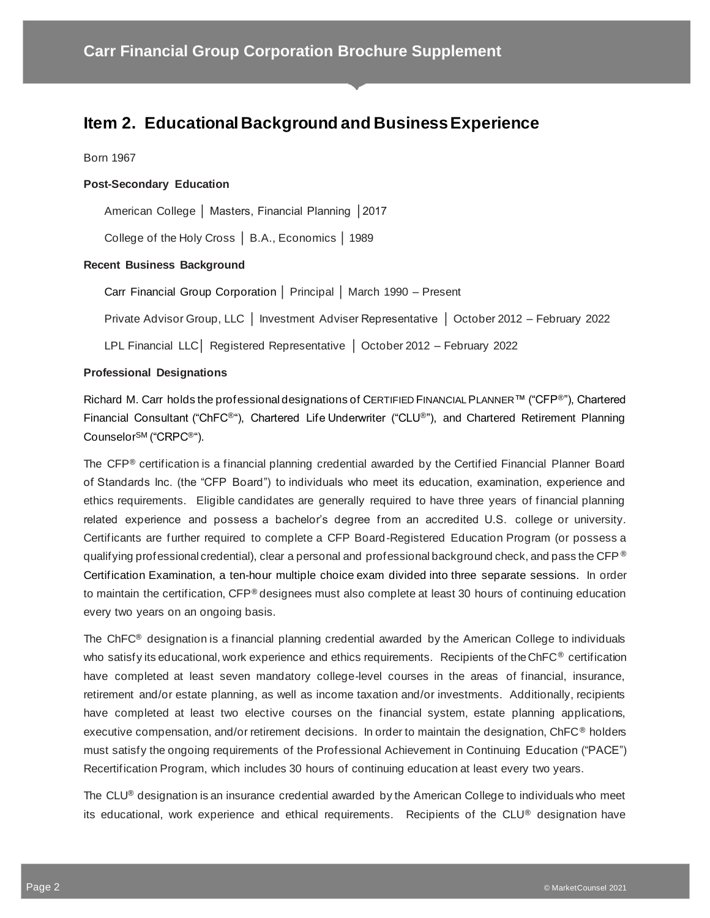## **Item 2. Educational Background and Business Experience**

#### Born 1967

#### **Post-Secondary Education**

American College │ Masters, Financial Planning │2017

College of the Holy Cross │ B.A., Economics │ 1989

#### **Recent Business Background**

Carr Financial Group Corporation │ Principal │ March 1990 – Present

Private Advisor Group, LLC │ Investment Adviser Representative │ October 2012 – February 2022

LPL Financial LLC│ Registered Representative │ October 2012 – February 2022

#### **Professional Designations**

Richard M. Carr holds the professional designations of CERTIFIED FINANCIAL PLANNER™ ("CFP®"), Chartered Financial Consultant ("ChFC®"), Chartered Life Underwriter ("CLU®"), and Chartered Retirement Planning CounselorSM ("CRPC®").

The CFP® certification is a financial planning credential awarded by the Certified Financial Planner Board of Standards Inc. (the "CFP Board") to individuals who meet its education, examination, experience and ethics requirements. Eligible candidates are generally required to have three years of financial planning related experience and possess a bachelor's degree from an accredited U.S. college or university. Certificants are further required to complete a CFP Board-Registered Education Program (or possess a qualifying professional credential), clear a personal and professional background check, and pass the CFP  $\degree$ Certification Examination, a ten-hour multiple choice exam divided into three separate sessions. In order to maintain the certification, CFP® designees must also complete at least 30 hours of continuing education every two years on an ongoing basis.

The ChFC® designation is a financial planning credential awarded by the American College to individuals who satisfy its educational, work experience and ethics requirements. Recipients of the ChFC<sup>®</sup> certification have completed at least seven mandatory college-level courses in the areas of financial, insurance, retirement and/or estate planning, as well as income taxation and/or investments. Additionally, recipients have completed at least two elective courses on the financial system, estate planning applications, executive compensation, and/or retirement decisions. In order to maintain the designation, ChFC® holders must satisfy the ongoing requirements of the Professional Achievement in Continuing Education ("PACE") Recertification Program, which includes 30 hours of continuing education at least every two years.

The  $CLU<sup>®</sup>$  designation is an insurance credential awarded by the American College to individuals who meet its educational, work experience and ethical requirements. Recipients of the CLU® designation have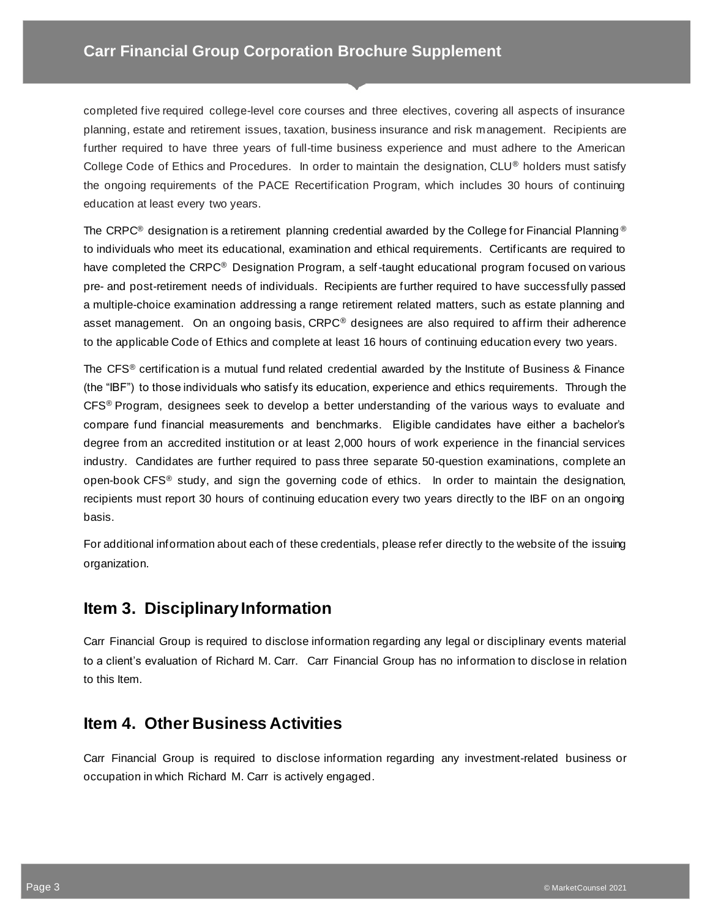completed five required college-level core courses and three electives, covering all aspects of insurance planning, estate and retirement issues, taxation, business insurance and risk management. Recipients are further required to have three years of full-time business experience and must adhere to the American College Code of Ethics and Procedures. In order to maintain the designation, CLU® holders must satisfy the ongoing requirements of the PACE Recertification Program, which includes 30 hours of continuing education at least every two years.

The CRPC<sup>®</sup> designation is a retirement planning credential awarded by the College for Financial Planning<sup>®</sup> to individuals who meet its educational, examination and ethical requirements. Certificants are required to have completed the CRPC<sup>®</sup> Designation Program, a self-taught educational program focused on various pre- and post-retirement needs of individuals. Recipients are further required to have successfully passed a multiple-choice examination addressing a range retirement related matters, such as estate planning and asset management. On an ongoing basis, CRPC® designees are also required to affirm their adherence to the applicable Code of Ethics and complete at least 16 hours of continuing education every two years.

The CFS<sup>®</sup> certification is a mutual fund related credential awarded by the Institute of Business & Finance (the "IBF") to those individuals who satisfy its education, experience and ethics requirements. Through the CFS® Program, designees seek to develop a better understanding of the various ways to evaluate and compare fund financial measurements and benchmarks. Eligible candidates have either a bachelor's degree from an accredited institution or at least 2,000 hours of work experience in the financial services industry. Candidates are further required to pass three separate 50-question examinations, complete an open-book CFS® study, and sign the governing code of ethics. In order to maintain the designation, recipients must report 30 hours of continuing education every two years directly to the IBF on an ongoing basis.

For additional information about each of these credentials, please refer directly to the website of the issuing organization.

## **Item 3. Disciplinary Information**

Carr Financial Group is required to disclose information regarding any legal or disciplinary events material to a client's evaluation of Richard M. Carr. Carr Financial Group has no information to disclose in relation to this Item.

## **Item 4. Other Business Activities**

Carr Financial Group is required to disclose information regarding any investment-related business or occupation in which Richard M. Carr is actively engaged.